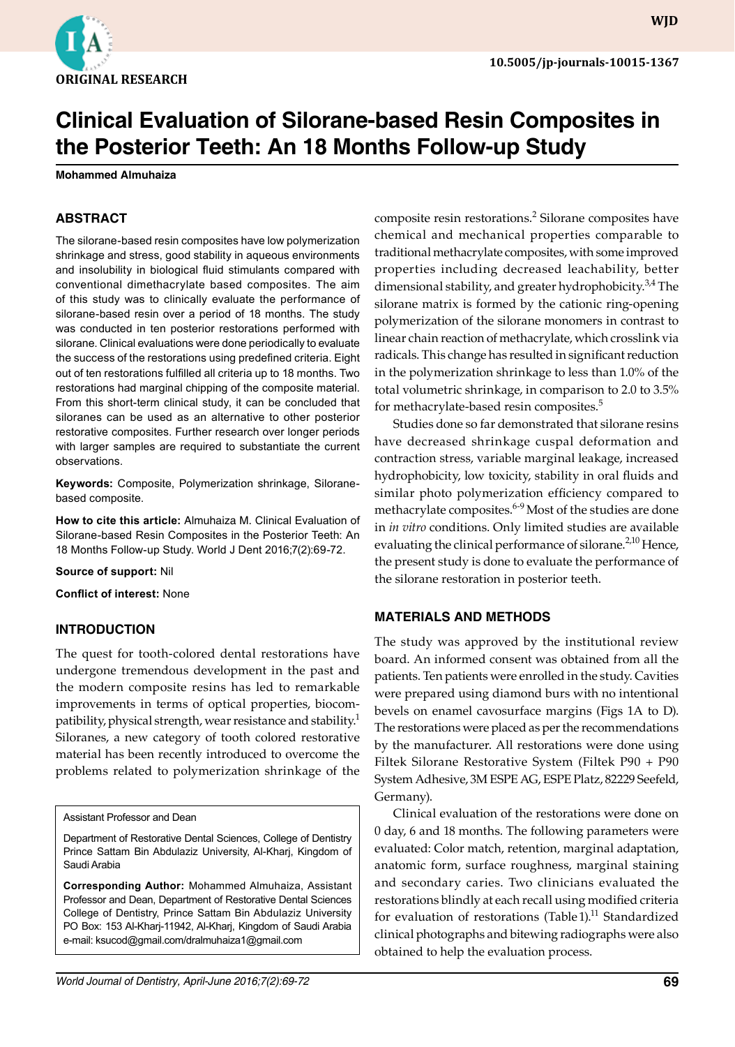

**WJD WJD**

# **Clinical Evaluation of Silorane-based Resin Composites in the Posterior Teeth: An 18 Months Follow-up Study**

**Mohammed Almuhaiza**

## **ABSTRACT**

The silorane-based resin composites have low polymerization shrinkage and stress, good stability in aqueous environments and insolubility in biological fluid stimulants compared with conventional dimethacrylate based composites. The aim of this study was to clinically evaluate the performance of silorane-based resin over a period of 18 months. The study was conducted in ten posterior restorations performed with silorane. Clinical evaluations were done periodically to evaluate the success of the restorations using predefined criteria. Eight out of ten restorations fulfilled all criteria up to 18 months. Two restorations had marginal chipping of the composite material. From this short-term clinical study, it can be concluded that siloranes can be used as an alternative to other posterior restorative composites. Further research over longer periods with larger samples are required to substantiate the current observations.

**Keywords:** Composite, Polymerization shrinkage, Siloranebased composite.

**How to cite this article:** Almuhaiza M. Clinical Evaluation of Silorane-based Resin Composites in the Posterior Teeth: An 18 Months Follow-up Study. World J Dent 2016;7(2):69-72.

**Source of support:** Nil

**Conflict of interest:** None

#### **INTRODUCTION**

The quest for tooth-colored dental restorations have undergone tremendous development in the past and the modern composite resins has led to remarkable improvements in terms of optical properties, biocompatibility, physical strength, wear resistance and stability.<sup>1</sup> Siloranes, a new category of tooth colored restorative material has been recently introduced to overcome the problems related to polymerization shrinkage of the

Assistant Professor and Dean

Department of Restorative Dental Sciences, College of Dentistry Prince Sattam Bin Abdulaziz University, Al-Kharj, Kingdom of Saudi Arabia

**Corresponding Author:** Mohammed Almuhaiza, Assistant Professor and Dean, Department of Restorative Dental Sciences College of Dentistry, Prince Sattam Bin Abdulaziz University PO Box: 153 Al-Kharj-11942, Al-Kharj, Kingdom of Saudi Arabia e-mail: ksucod@gmail.com/dralmuhaiza1@gmail.com

composite resin restorations.<sup>2</sup> Silorane composites have chemical and mechanical properties comparable to traditional methacrylate composites, with some improved properties including decreased leachability, better dimensional stability, and greater hydrophobicity.<sup>3,4</sup> The silorane matrix is formed by the cationic ring-opening polymerization of the silorane monomers in contrast to linear chain reaction of methacrylate, which crosslink via radicals. This change has resulted in significant reduction in the polymerization shrinkage to less than 1.0% of the total volumetric shrinkage, in comparison to 2.0 to 3.5% for methacrylate-based resin composites.<sup>5</sup>

Studies done so far demonstrated that silorane resins have decreased shrinkage cuspal deformation and contraction stress, variable marginal leakage, increased hydrophobicity, low toxicity, stability in oral fluids and similar photo polymerization efficiency compared to methacrylate composites.<sup>6-9</sup> Most of the studies are done in *in vitro* conditions. Only limited studies are available evaluating the clinical performance of silorane.<sup>2,10</sup> Hence, the present study is done to evaluate the performance of the silorane restoration in posterior teeth.

### **MATERIALS AND METHODS**

The study was approved by the institutional review board. An informed consent was obtained from all the patients. Ten patients were enrolled in the study. Cavities were prepared using diamond burs with no intentional bevels on enamel cavosurface margins (Figs 1A to D). The restorations were placed as per the recommendations by the manufacturer. All restorations were done using Filtek Silorane Restorative System (Filtek P90 + P90 System Adhesive, 3M ESPE AG, ESPE Platz, 82229 Seefeld, Germany).

Clinical evaluation of the restorations were done on 0 day, 6 and 18 months. The following parameters were evaluated: Color match, retention, marginal adaptation, anatomic form, surface roughness, marginal staining and secondary caries. Two clinicians evaluated the restorations blindly at each recall using modified criteria for evaluation of restorations (Table 1).<sup>11</sup> Standardized clinical photographs and bitewing radiographs were also obtained to help the evaluation process.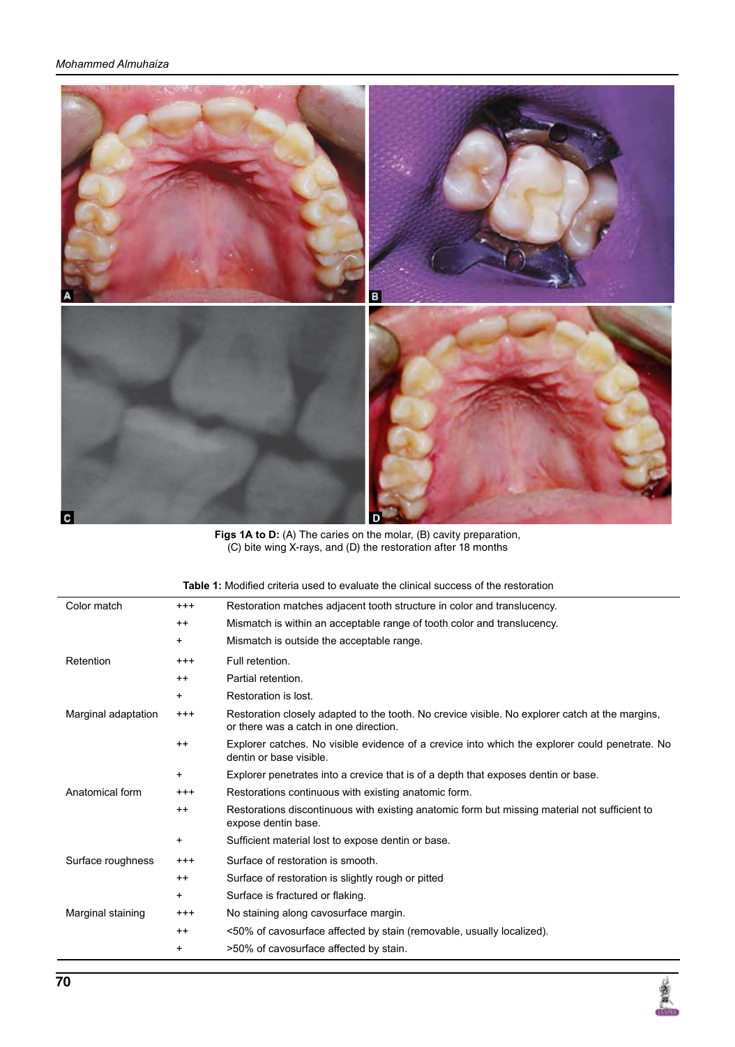

**Figs 1A to D:** (A) The caries on the molar, (B) cavity preparation, (C) bite wing X-rays, and (D) the restoration after 18 months

| Color match         | $^{+++}$ | Restoration matches adjacent tooth structure in color and translucency.                                                                   |  |  |  |
|---------------------|----------|-------------------------------------------------------------------------------------------------------------------------------------------|--|--|--|
|                     | $^{++}$  | Mismatch is within an acceptable range of tooth color and translucency.                                                                   |  |  |  |
|                     | +        | Mismatch is outside the acceptable range.                                                                                                 |  |  |  |
| Retention           | $^{+++}$ | Full retention.                                                                                                                           |  |  |  |
|                     | $^{++}$  | Partial retention.                                                                                                                        |  |  |  |
|                     | +        | Restoration is lost.                                                                                                                      |  |  |  |
| Marginal adaptation | $^{+++}$ | Restoration closely adapted to the tooth. No crevice visible. No explorer catch at the margins,<br>or there was a catch in one direction. |  |  |  |
|                     | $^{++}$  | Explorer catches. No visible evidence of a crevice into which the explorer could penetrate. No<br>dentin or base visible.                 |  |  |  |
|                     | +        | Explorer penetrates into a crevice that is of a depth that exposes dentin or base.                                                        |  |  |  |
| Anatomical form     | $^{+++}$ | Restorations continuous with existing anatomic form.                                                                                      |  |  |  |
|                     | $^{++}$  | Restorations discontinuous with existing anatomic form but missing material not sufficient to<br>expose dentin base.                      |  |  |  |
|                     | +        | Sufficient material lost to expose dentin or base.                                                                                        |  |  |  |
| Surface roughness   | $^{+++}$ | Surface of restoration is smooth.                                                                                                         |  |  |  |
|                     | $^{++}$  | Surface of restoration is slightly rough or pitted                                                                                        |  |  |  |
|                     | +        | Surface is fractured or flaking.                                                                                                          |  |  |  |
| Marginal staining   | $^{+++}$ | No staining along cavosurface margin.                                                                                                     |  |  |  |
|                     | $^{++}$  | <50% of cavosurface affected by stain (removable, usually localized).                                                                     |  |  |  |
|                     | +        | >50% of cavosurface affected by stain.                                                                                                    |  |  |  |

**Table 1:** Modified criteria used to evaluate the clinical success of the restoration

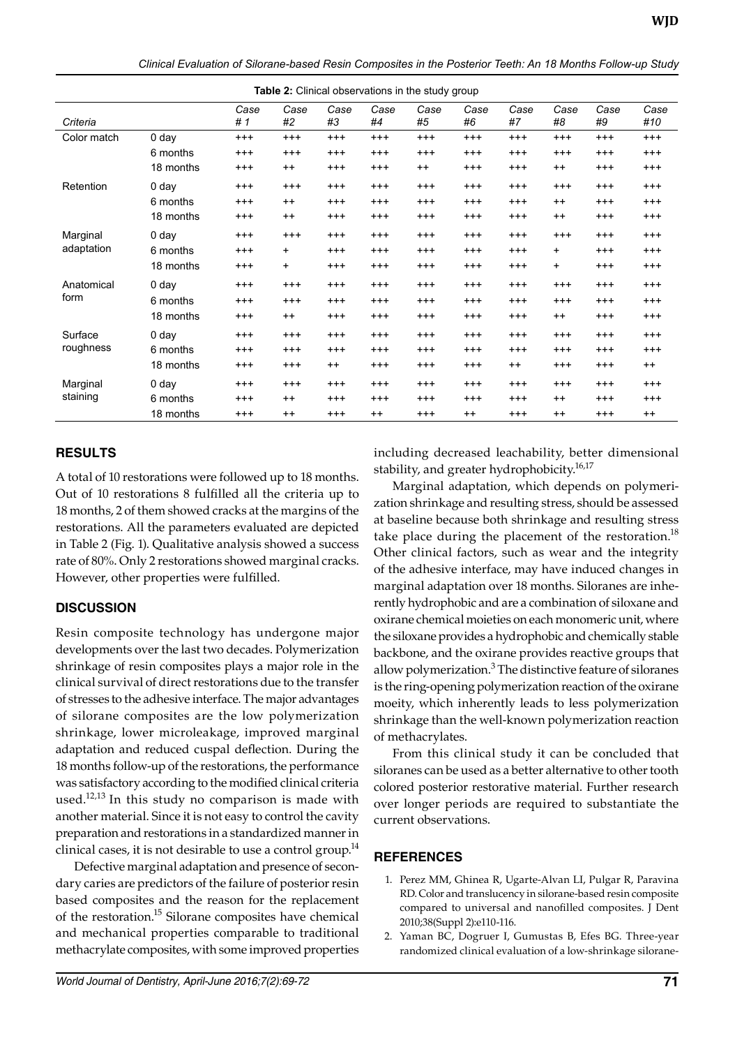|  |  | Clinical Evaluation of Silorane-based Resin Composites in the Posterior Teeth: An 18 Months Follow-up Study |  |  |
|--|--|-------------------------------------------------------------------------------------------------------------|--|--|
|  |  |                                                                                                             |  |  |

| <b>Table 2:</b> Clinical observations in the study group |           |            |            |            |            |            |            |            |            |            |             |
|----------------------------------------------------------|-----------|------------|------------|------------|------------|------------|------------|------------|------------|------------|-------------|
| Criteria                                                 |           | Case<br>#1 | Case<br>#2 | Case<br>#3 | Case<br>#4 | Case<br>#5 | Case<br>#6 | Case<br>#7 | Case<br>#8 | Case<br>#9 | Case<br>#10 |
| Color match                                              | 0 day     | $^{+++}$   | $^{+++}$   | $^{+++}$   | $^{+++}$   | $^{+++}$   | $^{+++}$   | $^{+++}$   | $^{+++}$   | $^{+++}$   | $^{+++}$    |
|                                                          | 6 months  | $^{+++}$   | $^{++}$    | $^{+++}$   | $^{+++}$   | $^{+++}$   | $^{++}$    | $^{+++}$   | $^{+++}$   | $^{+++}$   | $^{+++}$    |
|                                                          | 18 months | $^{+++}$   | $^{++}$    | $^{+++}$   | $^{+++}$   | $^{++}$    | $^{+++}$   | $^{+++}$   | $^{++}$    | $^{+++}$   | $^{+++}$    |
| Retention                                                | 0 day     | $^{+++}$   | $^{+++}$   | $^{+++}$   | $^{+++}$   | $^{+++}$   | $^{+++}$   | $^{+++}$   | $^{+++}$   | $^{+++}$   | $^{+++}$    |
|                                                          | 6 months  | $^{+++}$   | $^{++}$    | $^{+++}$   | $^{+++}$   | $^{+++}$   | $^{++}$    | $^{+++}$   | $++$       | $^{+++}$   | $^{+++}$    |
|                                                          | 18 months | $^{+++}$   | $^{++}$    | $^{+++}$   | $^{+++}$   | $^{+++}$   | $^{+++}$   | $^{+++}$   | $^{++}$    | $^{+++}$   | $^{+++}$    |
| Marginal<br>adaptation                                   | 0 day     | $^{+++}$   | $^{+++}$   | $^{+++}$   | $^{+++}$   | $^{+++}$   | $^{+++}$   | $^{+++}$   | $^{++}$    | $^{+++}$   | $^{+++}$    |
|                                                          | 6 months  | $^{+++}$   | $+$        | $^{+++}$   | $^{+++}$   | $^{+++}$   | $^{+++}$   | $^{+++}$   | $\ddot{}$  | $^{+++}$   | $^{+++}$    |
|                                                          | 18 months | $^{+++}$   | $+$        | $^{+++}$   | $^{+++}$   | $^{+++}$   | $^{+++}$   | $^{+++}$   | +          | $^{+++}$   | $^{+++}$    |
| Anatomical<br>form                                       | 0 day     | $^{+++}$   | $^{+++}$   | $^{+++}$   | $^{+++}$   | $^{+++}$   | $^{+++}$   | $^{+++}$   | $^{+++}$   | $^{+++}$   | $^{+++}$    |
|                                                          | 6 months  | $^{+++}$   | $^{+++}$   | $^{+++}$   | $^{+++}$   | $^{+++}$   | $^{+++}$   | $^{+++}$   | $^{+++}$   | $^{+++}$   | $^{+++}$    |
|                                                          | 18 months | $^{+++}$   | $^{++}$    | $^{+++}$   | $^{+++}$   | $^{+++}$   | $^{+++}$   | $^{+++}$   | $++$       | $^{+++}$   | $^{+++}$    |
| Surface<br>roughness                                     | 0 day     | $^{+++}$   | $^{+++}$   | $^{+++}$   | $^{+++}$   | $^{+++}$   | $^{+++}$   | $^{+++}$   | $^{+++}$   | $^{+++}$   | $^{+++}$    |
|                                                          | 6 months  | $^{+++}$   | $^{+++}$   | $^{+++}$   | $^{+++}$   | $^{+++}$   | $^{+++}$   | $^{+++}$   | $^{+++}$   | $^{+++}$   | $^{+++}$    |
|                                                          | 18 months | $^{+++}$   | $^{+++}$   | $++$       | $^{+++}$   | $^{+++}$   | $^{+++}$   | $^{++}$    | $^{+++}$   | $^{+++}$   | $^{++}$     |
| Marginal<br>staining                                     | 0 day     | $^{+++}$   | $^{+++}$   | $^{+++}$   | $^{+++}$   | $^{+++}$   | $^{+++}$   | $^{+++}$   | $^{+++}$   | $^{+++}$   | $^{+++}$    |
|                                                          | 6 months  | $^{+++}$   | $++$       | $^{+++}$   | $^{+++}$   | $^{+++}$   | $^{+++}$   | $^{+++}$   | $++$       | $^{+++}$   | $^{+++}$    |
|                                                          | 18 months | $^{+++}$   | $^{++}$    | $^{+++}$   | $^{++}$    | $^{+++}$   | $^{++}$    | $^{++}$    | $^{++}$    | $^{+++}$   | $++$        |

**Table 2:** Clinical observations in the study group

### **RESULTS**

A total of 10 restorations were followed up to 18 months. Out of 10 restorations 8 fulfilled all the criteria up to 18 months, 2 of them showed cracks at the margins of the restorations. All the parameters evaluated are depicted in Table 2 (Fig. 1). Qualitative analysis showed a success rate of 80%. Only 2 restorations showed marginal cracks. However, other properties were fulfilled.

# **DISCUSSION**

Resin composite technology has undergone major developments over the last two decades. Polymerization shrinkage of resin composites plays a major role in the clinical survival of direct restorations due to the transfer of stresses to the adhesive interface. The major advantages of silorane composites are the low polymerization shrinkage, lower microleakage, improved marginal adaptation and reduced cuspal deflection. During the 18 months follow-up of the restorations, the performance was satisfactory according to the modified clinical criteria used. $12,13$  In this study no comparison is made with another material. Since it is not easy to control the cavity preparation and restorations in a standardized manner in clinical cases, it is not desirable to use a control group. $^{14}$ 

Defective marginal adaptation and presence of secondary caries are predictors of the failure of posterior resin based composites and the reason for the replacement of the restoration.15 Silorane composites have chemical and mechanical properties comparable to traditional methacrylate composites, with some improved properties including decreased leachability, better dimensional stability, and greater hydrophobicity.<sup>16,17</sup>

Marginal adaptation, which depends on polymerization shrinkage and resulting stress, should be assessed at baseline because both shrinkage and resulting stress take place during the placement of the restoration.<sup>18</sup> Other clinical factors, such as wear and the integrity of the adhesive interface, may have induced changes in marginal adaptation over 18 months. Siloranes are inherently hydrophobic and are a combination of siloxane and oxirane chemical moieties on each monomeric unit, where the siloxane provides a hydrophobic and chemically stable backbone, and the oxirane provides reactive groups that allow polymerization.<sup>3</sup> The distinctive feature of siloranes is the ring-opening polymerization reaction of the oxirane moeity, which inherently leads to less polymerization shrinkage than the well-known polymerization reaction of methacrylates.

From this clinical study it can be concluded that siloranes can be used as a better alternative to other tooth colored posterior restorative material. Further research over longer periods are required to substantiate the current observations.

#### **REFERENCES**

- 1. Perez MM, Ghinea R, Ugarte-Alvan LI, Pulgar R, Paravina RD. Color and translucency in silorane-based resin composite compared to universal and nanofilled composites. J Dent 2010;38(Suppl 2):e110-116.
- 2. Yaman BC, Dogruer I, Gumustas B, Efes BG. Three-year randomized clinical evaluation of a low-shrinkage silorane-